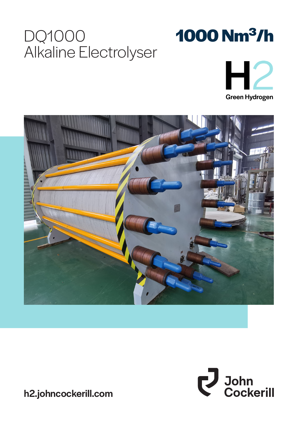# DQ1000 Alkaline Electrolyser









h2.johncockerill.com